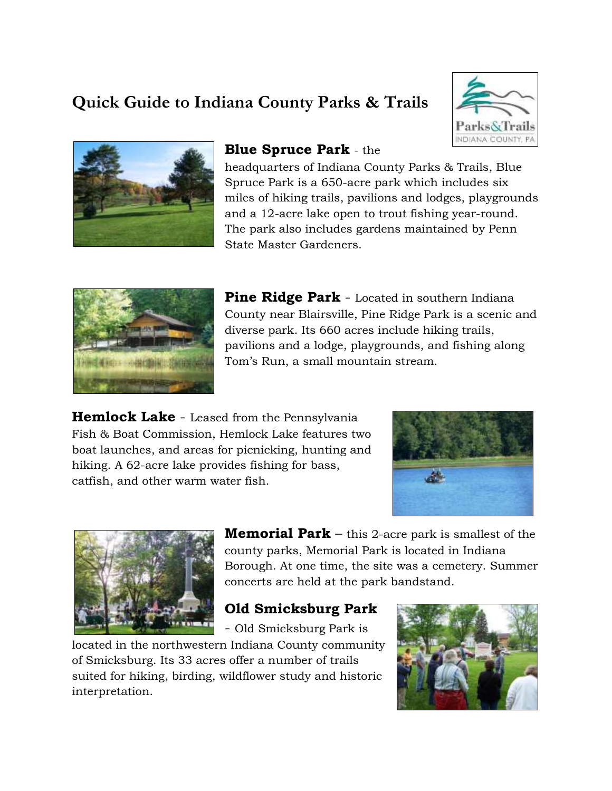# **Quick Guide to Indiana County Parks & Trails**





### **Blue Spruce Park** - the

headquarters of Indiana County Parks & Trails, Blue Spruce Park is a 650-acre park which includes six miles of hiking trails, pavilions and lodges, playgrounds and a 12-acre lake open to trout fishing year-round. The park also includes gardens maintained by Penn State Master Gardeners.



**Pine Ridge Park** - Located in southern Indiana County near Blairsville, Pine Ridge Park is a scenic and diverse park. Its 660 acres include hiking trails, pavilions and a lodge, playgrounds, and fishing along Tom's Run, a small mountain stream.

**Hemlock Lake** - Leased from the Pennsylvania Fish & Boat Commission, Hemlock Lake features two boat launches, and areas for picnicking, hunting and hiking. A 62-acre lake provides fishing for bass, catfish, and other warm water fish.





**Memorial Park** – this 2-acre park is smallest of the county parks, Memorial Park is located in Indiana Borough. At one time, the site was a cemetery. Summer concerts are held at the park bandstand.

## **Old Smicksburg Park**

- Old Smicksburg Park is

located in the northwestern Indiana County community of Smicksburg. Its 33 acres offer a number of trails suited for hiking, birding, wildflower study and historic interpretation.

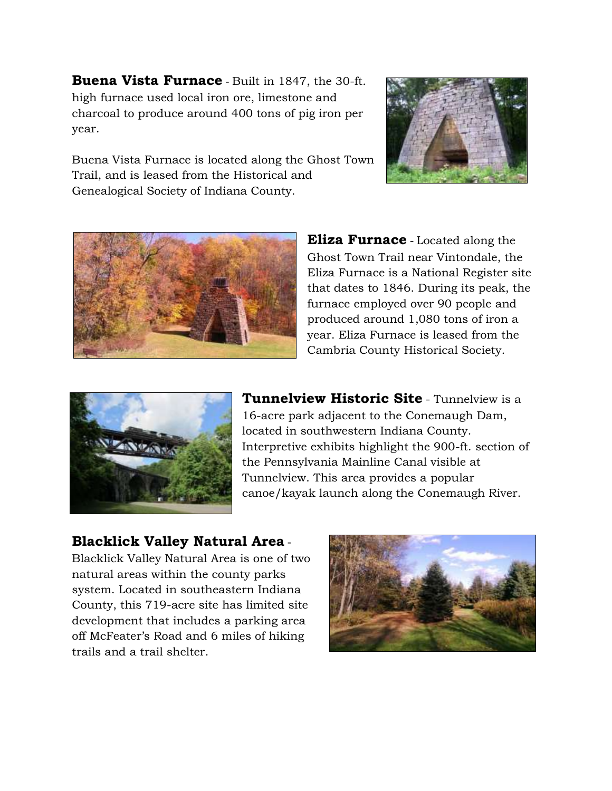**Buena Vista Furnace** - Built in 1847, the 30-ft. high furnace used local iron ore, limestone and charcoal to produce around 400 tons of pig iron per year.



Buena Vista Furnace is located along the Ghost Town Trail, and is leased from the Historical and Genealogical Society of Indiana County.



**Eliza Furnace** - Located along the Ghost Town Trail near Vintondale, the Eliza Furnace is a National Register site that dates to 1846. During its peak, the furnace employed over 90 people and produced around 1,080 tons of iron a year. Eliza Furnace is leased from the Cambria County Historical Society.



**Tunnelview Historic Site** - Tunnelview is a 16-acre park adjacent to the Conemaugh Dam, located in southwestern Indiana County. Interpretive exhibits highlight the 900-ft. section of the Pennsylvania Mainline Canal visible at Tunnelview. This area provides a popular canoe/kayak launch along the Conemaugh River.

#### **Blacklick Valley Natural Area** -

Blacklick Valley Natural Area is one of two natural areas within the county parks system. Located in southeastern Indiana County, this 719-acre site has limited site development that includes a parking area off McFeater's Road and 6 miles of hiking trails and a trail shelter.

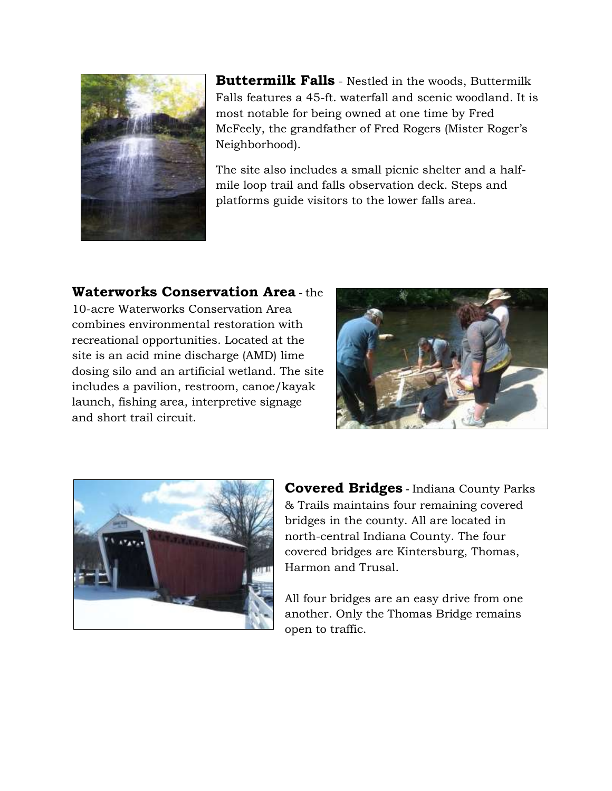

**Buttermilk Falls** - Nestled in the woods, Buttermilk Falls features a 45-ft. waterfall and scenic woodland. It is most notable for being owned at one time by Fred McFeely, the grandfather of Fred Rogers (Mister Roger's Neighborhood).

The site also includes a small picnic shelter and a halfmile loop trail and falls observation deck. Steps and platforms guide visitors to the lower falls area.

#### **Waterworks Conservation Area** - the

10-acre Waterworks Conservation Area combines environmental restoration with recreational opportunities. Located at the site is an acid mine discharge (AMD) lime dosing silo and an artificial wetland. The site includes a pavilion, restroom, canoe/kayak launch, fishing area, interpretive signage and short trail circuit.





**Covered Bridges** - Indiana County Parks & Trails maintains four remaining covered bridges in the county. All are located in north-central Indiana County. The four covered bridges are Kintersburg, Thomas, Harmon and Trusal.

All four bridges are an easy drive from one another. Only the Thomas Bridge remains open to traffic.